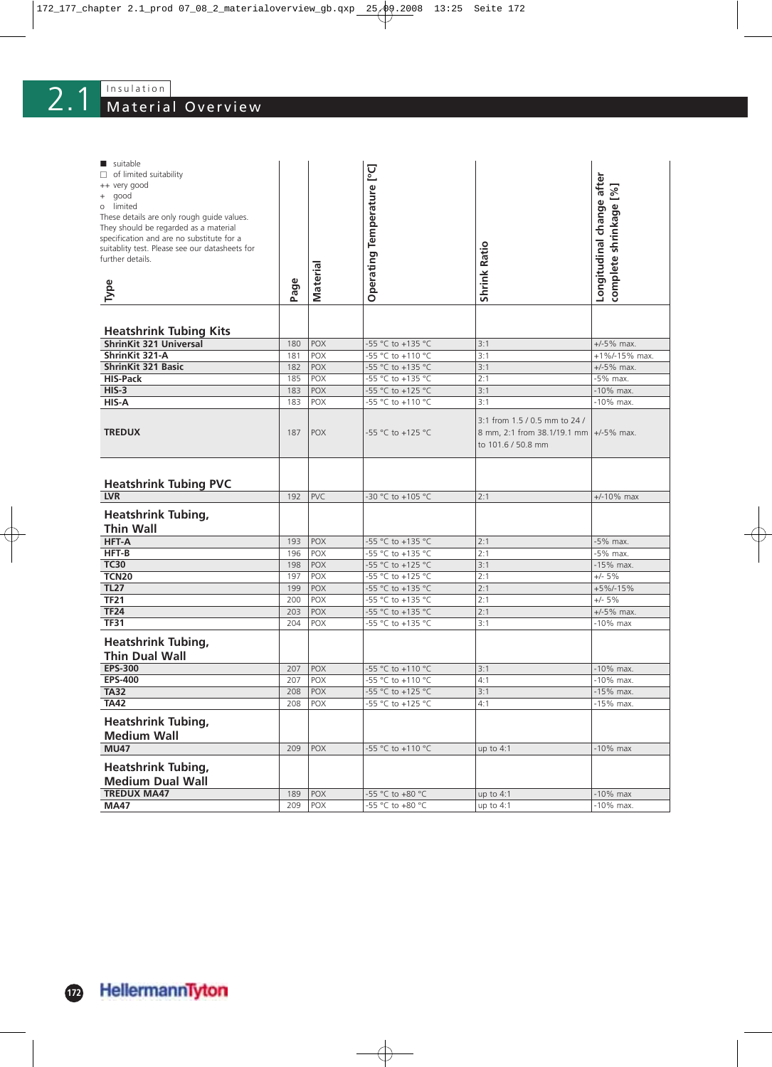| suitable                                       |      |                 |                            |                                        |                           |
|------------------------------------------------|------|-----------------|----------------------------|----------------------------------------|---------------------------|
| $\Box$ of limited suitability                  |      |                 | Operating Temperature [°C] |                                        | Longitudinal change after |
| ++ very good<br>good<br>$\! + \!\!\!\!$        |      |                 |                            |                                        |                           |
| o limited                                      |      |                 |                            |                                        |                           |
| These details are only rough guide values.     |      |                 |                            |                                        |                           |
| They should be regarded as a material          |      |                 |                            |                                        |                           |
| specification and are no substitute for a      |      |                 |                            |                                        |                           |
| suitablity test. Please see our datasheets for |      |                 |                            |                                        |                           |
| further details.                               |      |                 |                            |                                        |                           |
|                                                |      | <b>Material</b> |                            | <b>Shrink Ratio</b>                    | complete shrinkage [%]    |
| Type                                           | Page |                 |                            |                                        |                           |
|                                                |      |                 |                            |                                        |                           |
|                                                |      |                 |                            |                                        |                           |
| <b>Heatshrink Tubing Kits</b>                  |      |                 |                            |                                        |                           |
| <b>ShrinKit 321 Universal</b>                  | 180  | <b>POX</b>      | -55 °C to +135 °C          | 3:1                                    | $+/-5%$ max.              |
| ShrinKit 321-A                                 | 181  | POX             | -55 °C to +110 °C          | 3:1                                    | +1%/-15% max.             |
| <b>ShrinKit 321 Basic</b>                      | 182  | <b>POX</b>      | -55 °C to +135 °C          | 3:1                                    | $+/-5%$ max.              |
| <b>HIS-Pack</b>                                | 185  | POX             | -55 °C to +135 °C          | 2:1                                    | -5% max.                  |
| $HIS-3$                                        | 183  | POX             | -55 °C to +125 °C          | 3:1                                    | $-10\%$ max.              |
| HIS-A                                          | 183  | POX             | -55 °C to +110 °C          | 3:1                                    | -10% max.                 |
|                                                |      |                 |                            | 3:1 from 1.5 / 0.5 mm to 24 /          |                           |
| <b>TREDUX</b>                                  | 187  | <b>POX</b>      | -55 °C to +125 °C          | 8 mm, 2:1 from 38.1/19.1 mm +/-5% max. |                           |
|                                                |      |                 |                            | to 101.6 / 50.8 mm                     |                           |
|                                                |      |                 |                            |                                        |                           |
|                                                |      |                 |                            |                                        |                           |
|                                                |      |                 |                            |                                        |                           |
| <b>Heatshrink Tubing PVC</b>                   |      |                 | -30 °C to +105 °C          |                                        |                           |
| <b>LVR</b>                                     | 192  | PVC             |                            | 2:1                                    | $+/-10\%$ max             |
| <b>Heatshrink Tubing,</b>                      |      |                 |                            |                                        |                           |
| <b>Thin Wall</b>                               |      |                 |                            |                                        |                           |
| <b>HFT-A</b>                                   | 193  | <b>POX</b>      | -55 °C to +135 °C          | 2:1                                    | -5% max.                  |
| HFT-B                                          | 196  | POX             | -55 °C to +135 °C          | 2:1                                    | -5% max.                  |
| <b>TC30</b>                                    | 198  | POX             | -55 °C to +125 °C          | 3:1                                    | -15% max.                 |
| <b>TCN20</b>                                   | 197  | <b>POX</b>      | -55 °C to +125 °C          | 2:1                                    | $+/- 5%$                  |
| <b>TL27</b>                                    | 199  | <b>POX</b>      | -55 °C to +135 °C          | 2:1                                    | +5%/-15%                  |
| TF21                                           | 200  | POX             | -55 °C to +135 °C          | 2:1                                    | $+/- 5%$                  |
| <b>TF24</b>                                    | 203  | <b>POX</b>      | -55 °C to +135 °C          | 2:1                                    | $+/-5%$ max.              |
| <b>TF31</b>                                    | 204  | POX             | -55 °C to +135 °C          | 3:1                                    | $-10\%$ max               |
| <b>Heatshrink Tubing,</b>                      |      |                 |                            |                                        |                           |
| <b>Thin Dual Wall</b>                          |      |                 |                            |                                        |                           |
| <b>EPS-300</b>                                 | 207  | POX             | -55 °C to +110 °C          | 3:1                                    | -10% max.                 |
| <b>EPS-400</b>                                 | 207  | <b>POX</b>      | -55 °C to +110 °C          | 4:1                                    | -10% max.                 |
| <b>TA32</b>                                    | 208  | $ $ POX         | -55 °C to +125 °C          | 3:1                                    | -15% max.                 |
| <b>TA42</b>                                    | 208  | POX             | -55 °C to +125 °C          | 4:1                                    | -15% max.                 |
| <b>Heatshrink Tubing,</b>                      |      |                 |                            |                                        |                           |
|                                                |      |                 |                            |                                        |                           |
| <b>Medium Wall</b>                             |      |                 |                            |                                        |                           |
| <b>MU47</b>                                    | 209  | POX             | -55 °C to +110 °C          | up to $4:1$                            | $-10\%$ max               |
| <b>Heatshrink Tubing,</b>                      |      |                 |                            |                                        |                           |
| <b>Medium Dual Wall</b>                        |      |                 |                            |                                        |                           |
| <b>TREDUX MA47</b>                             | 189  | POX             | -55 °C to +80 °C           | up to $4:1$                            | $-10\%$ max               |
| <b>MA47</b>                                    | 209  | POX             | -55 °C to +80 °C           | up to $4:1$                            | -10% max.                 |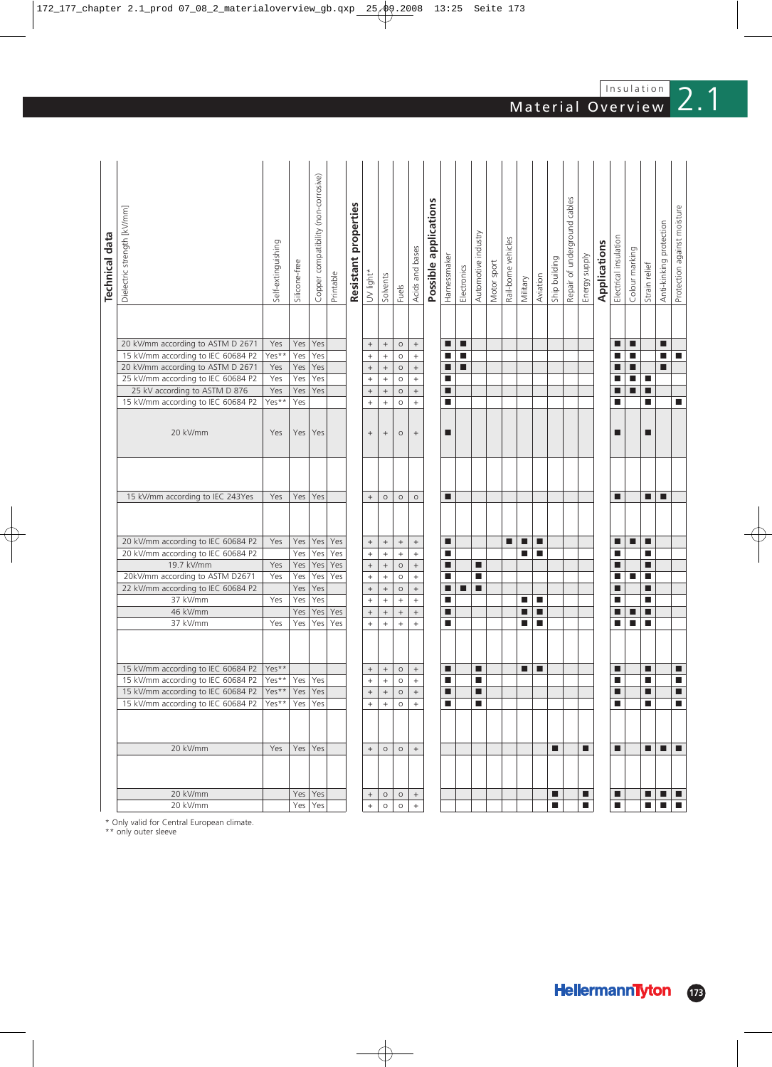|                       |                                                                          |                    |               | Copper compatibility (non-corrosive) |            |                      |                   |                           |                                          |                           |                       |                |             |                     |             |                     |                       |          |                |                              |                |              |                             |                |                             |                         |                             |
|-----------------------|--------------------------------------------------------------------------|--------------------|---------------|--------------------------------------|------------|----------------------|-------------------|---------------------------|------------------------------------------|---------------------------|-----------------------|----------------|-------------|---------------------|-------------|---------------------|-----------------------|----------|----------------|------------------------------|----------------|--------------|-----------------------------|----------------|-----------------------------|-------------------------|-----------------------------|
|                       |                                                                          |                    |               |                                      |            | Resistant properties |                   |                           |                                          |                           | Possible applications |                |             |                     |             |                     |                       |          |                | Repair of underground cables |                |              |                             |                |                             |                         |                             |
|                       | Dielectric strength [kV/mm]                                              |                    |               |                                      |            |                      |                   |                           |                                          |                           |                       |                |             |                     |             |                     |                       |          |                |                              |                |              |                             |                |                             | Anti-kinking protection |                             |
| <b>Technical data</b> |                                                                          |                    |               |                                      |            |                      |                   |                           |                                          |                           |                       |                |             | Automotive industry |             | Rail-borne vehicles |                       |          |                |                              |                |              | Electrical insulation       |                |                             |                         |                             |
|                       |                                                                          | Self-extinguishing |               |                                      |            |                      |                   |                           |                                          | Acids and bases           |                       | Harnessmaker   |             |                     |             |                     |                       |          |                |                              | Energy supply  | Applications |                             | Colour marking |                             |                         |                             |
|                       |                                                                          |                    | Silicone-free |                                      |            |                      | UV light*         |                           |                                          |                           |                       |                | Electronics |                     | Motor sport |                     |                       |          | Ship building  |                              |                |              |                             |                | Strain relief               |                         |                             |
|                       |                                                                          |                    |               |                                      | Printable  |                      |                   | Solvents                  | Fuels                                    |                           |                       |                |             |                     |             |                     | Military              | Aviation |                |                              |                |              |                             |                |                             |                         | Protection against moisture |
|                       |                                                                          |                    |               |                                      |            |                      |                   |                           |                                          |                           |                       |                |             |                     |             |                     |                       |          |                |                              |                |              |                             |                |                             |                         |                             |
|                       |                                                                          |                    |               |                                      |            |                      |                   |                           |                                          |                           |                       |                |             |                     |             |                     |                       |          |                |                              |                |              |                             |                |                             |                         |                             |
|                       |                                                                          |                    |               |                                      |            |                      |                   |                           |                                          |                           |                       |                |             |                     |             |                     |                       |          |                |                              |                |              |                             |                |                             |                         |                             |
|                       | 20 kV/mm according to ASTM D 2671                                        | Yes                | Yes           | Yes                                  |            |                      | $\boldsymbol{+}$  | $^{\mathrm{+}}$           | $\circ$                                  | $^+$                      |                       | ■              | п           |                     |             |                     |                       |          |                |                              |                |              | П                           | п              |                             | П                       |                             |
|                       | 15 kV/mm according to IEC 60684 P2                                       | Yes**              | Yes           | Yes<br>Yes                           |            |                      | $^+$              | $+$                       | $\circ$                                  | $+$<br>$^{+}$             |                       | П              | П<br>П      |                     |             |                     |                       |          |                |                              |                |              | П<br>П                      | П              |                             | П                       | $\blacksquare$              |
|                       | 20 kV/mm according to ASTM D 2671<br>25 kV/mm according to IEC 60684 P2  | Yes<br>Yes         | Yes<br>Yes    | Yes                                  |            |                      | $^+$<br>$\! + \!$ | $^+$<br>$\qquad \qquad +$ | $\circ$<br>$\circ$                       | $+$                       |                       | ■<br>п         |             |                     |             |                     |                       |          |                |                              |                |              | П                           | ■<br>П         | $\mathcal{L}_{\mathcal{A}}$ | п                       |                             |
|                       | 25 kV according to ASTM D 876                                            | Yes                | Yes           | Yes                                  |            |                      | $\qquad \qquad +$ | $\qquad \qquad +$         | $\circ$                                  | $^+$                      |                       | П              |             |                     |             |                     |                       |          |                |                              |                |              | г                           | П              | П                           |                         |                             |
|                       | 15 kV/mm according to IEC 60684 P2                                       | Yes**              | Yes           |                                      |            |                      | $\! + \!\!\!\!$   | $\ddot{}$                 | $\circ$                                  | $+$                       |                       | П              |             |                     |             |                     |                       |          |                |                              |                |              | П                           |                | П                           |                         | п                           |
|                       |                                                                          |                    |               |                                      |            |                      |                   |                           |                                          |                           |                       |                |             |                     |             |                     |                       |          |                |                              |                |              |                             |                |                             |                         |                             |
|                       |                                                                          |                    |               |                                      |            |                      |                   |                           |                                          |                           |                       |                |             |                     |             |                     |                       |          |                |                              |                |              |                             |                |                             |                         |                             |
|                       | 20 kV/mm                                                                 | Yes                | Yes           | Yes                                  |            |                      | $^+$              | $^{\mathrm{+}}$           | $\circ$                                  | $^+$                      |                       | ■              |             |                     |             |                     |                       |          |                |                              |                |              | ■                           |                | П                           |                         |                             |
|                       |                                                                          |                    |               |                                      |            |                      |                   |                           |                                          |                           |                       |                |             |                     |             |                     |                       |          |                |                              |                |              |                             |                |                             |                         |                             |
|                       |                                                                          |                    |               |                                      |            |                      |                   |                           |                                          |                           |                       |                |             |                     |             |                     |                       |          |                |                              |                |              |                             |                |                             |                         |                             |
|                       |                                                                          |                    |               |                                      |            |                      |                   |                           |                                          |                           |                       |                |             |                     |             |                     |                       |          |                |                              |                |              |                             |                |                             |                         |                             |
|                       | 15 kV/mm according to IEC 243Yes                                         | Yes                | Yes           | Yes                                  |            |                      | $\! + \!$         | $\circ$                   | $\circ$                                  | $\circ$                   |                       | ■              |             |                     |             |                     |                       |          |                |                              |                |              | П                           |                | П                           | П                       |                             |
|                       |                                                                          |                    |               |                                      |            |                      |                   |                           |                                          |                           |                       |                |             |                     |             |                     |                       |          |                |                              |                |              |                             |                |                             |                         |                             |
|                       |                                                                          |                    |               |                                      |            |                      |                   |                           |                                          |                           |                       |                |             |                     |             |                     |                       |          |                |                              |                |              |                             |                |                             |                         |                             |
|                       |                                                                          |                    |               |                                      |            |                      |                   |                           |                                          |                           |                       |                |             |                     |             |                     |                       |          |                |                              |                |              |                             |                |                             |                         |                             |
|                       | 20 kV/mm according to IEC 60684 P2<br>20 kV/mm according to IEC 60684 P2 | Yes                | Yes<br>Yes    | Yes<br>Yes                           | Yes<br>Yes |                      | $^+$<br>$\! + \!$ | $^+$<br>$\qquad \qquad +$ | $^+$<br>$\begin{array}{c} + \end{array}$ | $^+$<br>$\qquad \qquad +$ |                       | п<br>L.        |             |                     |             | ш                   | п<br><b>The State</b> | п<br>п   |                |                              |                |              | П<br>П                      | ■              | п<br>$\blacksquare$         |                         |                             |
|                       | 19.7 kV/mm                                                               | Yes                | Yes           | Yes                                  | Yes        |                      | $^+$              | $^{+}$                    | $\circ$                                  | $\! +$                    |                       | ■              |             | П                   |             |                     |                       |          |                |                              |                |              |                             |                | П                           |                         |                             |
|                       | 20kV/mm according to ASTM D2671                                          | Yes                | Yes           | Yes                                  | Yes        |                      | $^{+}$            | $^{+}$                    | $\circ$                                  | $+$                       |                       | $\blacksquare$ |             | $\blacksquare$      |             |                     |                       |          |                |                              |                |              | П                           | $\blacksquare$ | $\blacksquare$              |                         |                             |
|                       | 22 kV/mm according to IEC 60684 P2                                       |                    | Yes           | Yes                                  |            |                      | $^+$              | $^{\mathrm{+}}$           | $\circ$                                  | $^+$                      |                       | ■              | п           | П                   |             |                     |                       |          |                |                              |                |              | П                           |                | П                           |                         |                             |
|                       | 37 kV/mm                                                                 | Yes                | Yes           | Yes                                  |            |                      | $^{+}$            | $\qquad \qquad +$         | $^{+}$                                   | $+$                       |                       | П              |             |                     |             |                     | ▉                     | L.       |                |                              |                |              | ■                           |                | П                           |                         |                             |
|                       | 46 kV/mm                                                                 |                    | Yes           | Yes                                  | Yes        |                      | $\boldsymbol{+}$  | $^+$                      | $^+$                                     | $^+$                      |                       | ш              |             |                     |             |                     | ■                     | п        |                |                              |                |              | ■                           | ■              | п                           |                         |                             |
|                       | 37 kV/mm                                                                 | Yes                | Yes           | Yes                                  | Yes        |                      | $\qquad \qquad +$ | $^{+}$                    | $\! + \!\!\!\!$                          | $^{+}$                    |                       | П              |             |                     |             |                     | ш                     | п        |                |                              |                |              | П                           | ■              | П                           |                         |                             |
|                       |                                                                          |                    |               |                                      |            |                      |                   |                           |                                          |                           |                       |                |             |                     |             |                     |                       |          |                |                              |                |              |                             |                |                             |                         |                             |
|                       |                                                                          |                    |               |                                      |            |                      |                   |                           |                                          |                           |                       |                |             |                     |             |                     |                       |          |                |                              |                |              |                             |                |                             |                         |                             |
|                       | 15 kV/mm according to IEC 60684 P2                                       | Yes**              |               |                                      |            |                      | $^{\mathrm{+}}$   | $^+$                      | $\circ$                                  | $^+$                      |                       | ■              |             | ■                   |             |                     |                       | п        |                |                              |                |              | П                           |                | $\blacksquare$              |                         | п                           |
|                       | 15 kV/mm according to IEC 60684 P2   Yes**                               |                    | Yes Yes       |                                      |            |                      | $\ddot{}$         | $\ddot{}$                 | $\circ$                                  | $\ddot{}$                 |                       | П              |             | П                   |             |                     |                       |          |                |                              |                |              | П                           |                | П                           |                         | $\blacksquare$              |
|                       | 15 kV/mm according to IEC 60684 P2                                       | Yes**              | Yes           | Yes                                  |            |                      | $\qquad \qquad +$ | $\qquad \qquad +$         | $\circ$                                  | $^+$                      |                       | П              |             | ■                   |             |                     |                       |          |                |                              |                |              | П                           |                | Е                           |                         | п                           |
|                       | 15 kV/mm according to IEC 60684 P2                                       | Yes**              | Yes           | Yes                                  |            |                      | $^{+}$            | $\ddot{}$                 | $\circ$                                  | $+$                       |                       | $\blacksquare$ |             | п                   |             |                     |                       |          |                |                              |                |              | $\Box$                      |                | П                           |                         | ш                           |
|                       |                                                                          |                    |               |                                      |            |                      |                   |                           |                                          |                           |                       |                |             |                     |             |                     |                       |          |                |                              |                |              |                             |                |                             |                         |                             |
|                       |                                                                          |                    |               |                                      |            |                      |                   |                           |                                          |                           |                       |                |             |                     |             |                     |                       |          |                |                              |                |              |                             |                |                             |                         |                             |
|                       | 20 kV/mm                                                                 | Yes                | $Yes$ Yes     |                                      |            |                      | $\qquad \qquad +$ | $\circ$                   | $\circ$                                  | $+$                       |                       |                |             |                     |             |                     |                       |          | п              |                              | п              |              | п                           |                | п                           | п                       | H                           |
|                       |                                                                          |                    |               |                                      |            |                      |                   |                           |                                          |                           |                       |                |             |                     |             |                     |                       |          |                |                              |                |              |                             |                |                             |                         |                             |
|                       |                                                                          |                    |               |                                      |            |                      |                   |                           |                                          |                           |                       |                |             |                     |             |                     |                       |          |                |                              |                |              |                             |                |                             |                         |                             |
|                       |                                                                          |                    |               |                                      |            |                      |                   |                           |                                          |                           |                       |                |             |                     |             |                     |                       |          |                |                              |                |              |                             |                |                             |                         |                             |
|                       | 20 kV/mm                                                                 |                    | Yes Yes       |                                      |            |                      | $^+$              | $\circ$                   | $\circ$                                  | $^+$                      |                       |                |             |                     |             |                     |                       |          | ш              |                              | ■              |              | ш                           |                | п                           | ш                       | $\blacksquare$              |
|                       | 20 kV/mm                                                                 |                    | Yes Yes       |                                      |            |                      | $^{+}$            | $\circ$                   | $\circ$                                  | $+$                       |                       |                |             |                     |             |                     |                       |          | $\blacksquare$ |                              | $\blacksquare$ |              | $\mathcal{L}_{\mathcal{A}}$ |                | $\mathcal{L}_{\mathcal{A}}$ | п                       | $\mathbf{r}$                |

\* Only valid for Central European climate. \*\* only outer sleeve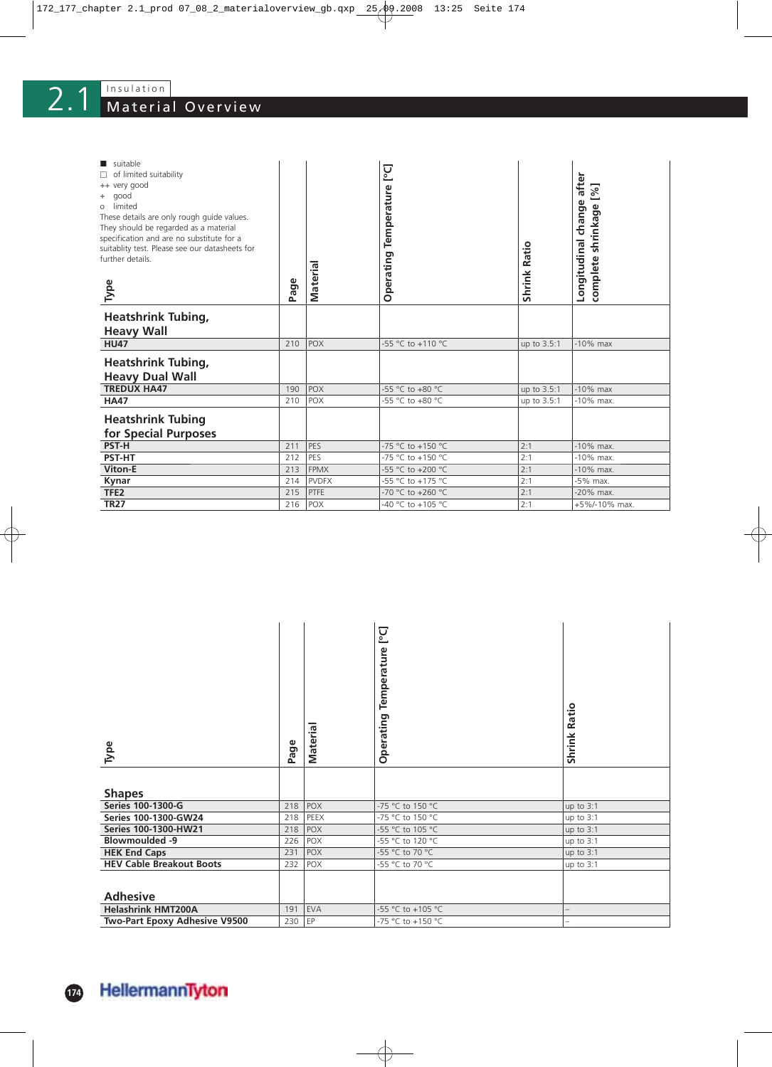# Material Overview  $2.1$

| suitable<br>of limited suitability<br>++ very good<br>good<br>$^{+}$<br>limited<br>O<br>These details are only rough guide values.<br>They should be regarded as a material<br>specification and are no substitute for a<br>suitablity test. Please see our datasheets for<br>further details.<br>Type | Page | <b>Materia</b> | <b>D</b> °1<br>Temperature<br>Operating | <b>Shrink Ratio</b> | after<br>[%]<br>$\omega$<br>complete shrinkage<br>chang<br>Longitudinal |
|--------------------------------------------------------------------------------------------------------------------------------------------------------------------------------------------------------------------------------------------------------------------------------------------------------|------|----------------|-----------------------------------------|---------------------|-------------------------------------------------------------------------|
| <b>Heatshrink Tubing,</b>                                                                                                                                                                                                                                                                              |      |                |                                         |                     |                                                                         |
| <b>Heavy Wall</b>                                                                                                                                                                                                                                                                                      |      |                |                                         |                     |                                                                         |
| <b>HU47</b>                                                                                                                                                                                                                                                                                            | 210  | <b>POX</b>     | -55 °C to +110 °C                       | up to 3.5:1         | $-10\%$ max                                                             |
| <b>Heatshrink Tubing,</b>                                                                                                                                                                                                                                                                              |      |                |                                         |                     |                                                                         |
| <b>Heavy Dual Wall</b>                                                                                                                                                                                                                                                                                 |      |                |                                         |                     |                                                                         |
| <b>TREDUX HA47</b>                                                                                                                                                                                                                                                                                     | 190  | POX            | -55 °C to +80 °C                        | up to 3.5:1         | $-10\%$ max                                                             |
| <b>HA47</b>                                                                                                                                                                                                                                                                                            | 210  | <b>POX</b>     | -55 °C to +80 °C                        | up to 3.5:1         | $-10\%$ max.                                                            |
| <b>Heatshrink Tubing</b><br>for Special Purposes                                                                                                                                                                                                                                                       |      |                |                                         |                     |                                                                         |
| <b>PST-H</b>                                                                                                                                                                                                                                                                                           | 211  | PES            | -75 °C to +150 °C                       | 2:1                 | $-10\%$ max.                                                            |
| <b>PST-HT</b>                                                                                                                                                                                                                                                                                          | 212  | PES            | -75 °C to +150 °C                       | 2:1                 | $-10\%$ max.                                                            |
| <b>Viton-E</b>                                                                                                                                                                                                                                                                                         | 213  | <b>FPMX</b>    | -55 °C to +200 °C                       | 2:1                 | $-10\%$ max.                                                            |
| Kynar                                                                                                                                                                                                                                                                                                  | 214  | <b>PVDFX</b>   | -55 °C to +175 °C                       | 2:1                 | -5% max.                                                                |
| TFE <sub>2</sub>                                                                                                                                                                                                                                                                                       | 215  | PTFE           | -70 °C to +260 °C                       | 2:1                 | -20% max.                                                               |
| <b>TR27</b>                                                                                                                                                                                                                                                                                            | 216  | <b>POX</b>     | -40 °C to +105 °C                       | 2:1                 | +5%/-10% max.                                                           |

| Туре                            | Page | Material   | [po]<br>Temperature<br>Operating | Ratio<br>Shrink |
|---------------------------------|------|------------|----------------------------------|-----------------|
| <b>Shapes</b>                   |      |            |                                  |                 |
| Series 100-1300-G               | 218  | POX        | -75 °C to 150 °C                 | up to $3:1$     |
| Series 100-1300-GW24            | 218  | PEEX       | -75 °C to 150 °C                 | up to $3:1$     |
| Series 100-1300-HW21            | 218  | <b>POX</b> | -55 °C to 105 °C                 | up to 3:1       |
| <b>Blowmoulded -9</b>           | 226  | POX        | -55 °C to 120 °C                 | up to $3:1$     |
| <b>HEK End Caps</b>             | 231  | <b>POX</b> | -55 °C to 70 °C                  | up to $3:1$     |
| <b>HEV Cable Breakout Boots</b> | 232  | POX        | -55 °C to 70 °C                  | up to $3:1$     |
| <b>Adhesive</b>                 |      |            |                                  |                 |
| <b>Helashrink HMT200A</b>       | 191  | <b>EVA</b> | -55 °C to +105 °C                |                 |
| Two-Part Epoxy Adhesive V9500   | 230  | EP         | -75 °C to +150 °C                |                 |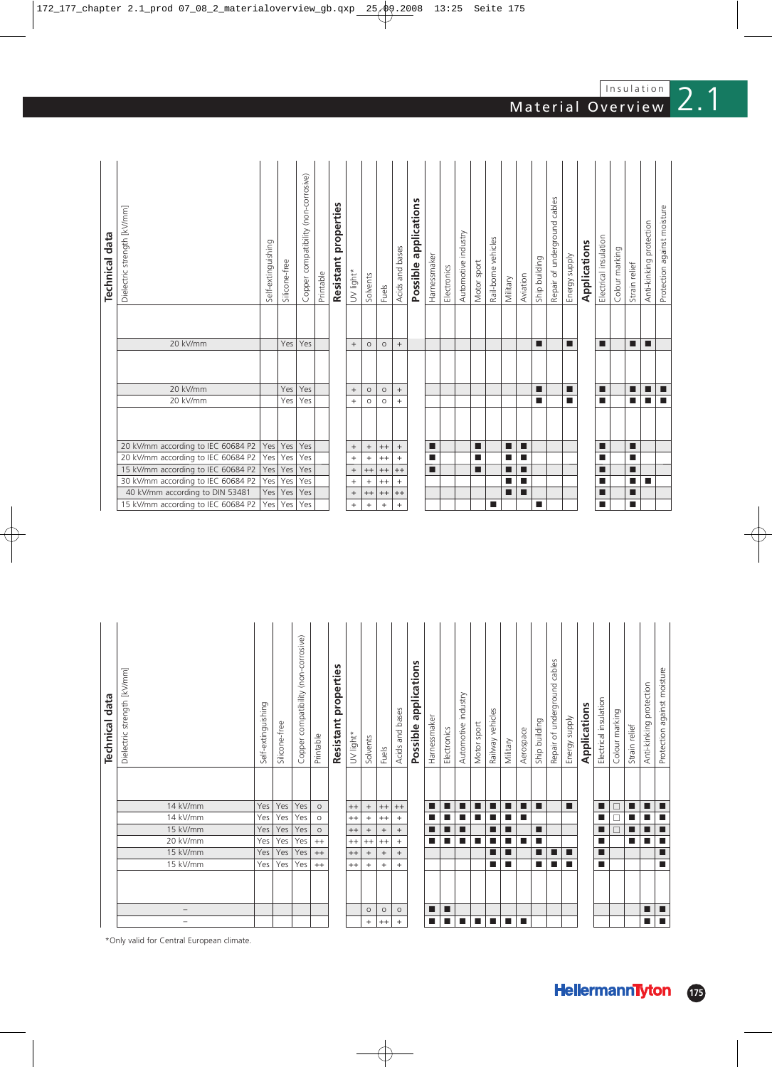| 20 kV/mm<br>Yes<br>Yes<br>п<br>п<br>■<br>П<br>$^{+}$<br>П<br>$^{+}$<br>$\circ$<br>$\circ$<br>20 kV/mm<br>Yes<br>Yes<br><b>In</b><br>■<br>■<br>п<br>$+$<br>$\circ$<br>$\circ$<br>$^{+}$<br>20 kV/mm according to IEC 60684 P2<br>Yes<br>Yes<br>Yes<br>п<br>п<br>п<br>П<br>$\! + \!\!\!\!$<br>$+ +$<br>■<br>$^{+}$<br>$^{+}$<br>20 kV/mm according to IEC 60684 P2<br>Yes<br>Yes<br>п<br>п<br>Yes<br>п<br>П<br>$+$<br>$^{++}$<br>■<br>П<br>$+$<br>$+$<br>15 kV/mm according to IEC 60684 P2<br>Yes<br>Yes<br>Yes<br>п<br>П<br>$^{++}$<br>п<br>П<br>п<br>$+ +$<br>$^{++}$<br>■<br>$\begin{array}{c} + \end{array}$<br>30 kV/mm according to IEC 60684 P2<br>Yes<br>Yes<br>Yes<br>п<br>П<br>$\,$ + $\,$<br>П<br>■<br>$^{++}$<br>$+$<br>$+$<br>40 kV/mm according to DIN 53481<br>Yes<br>Yes<br>Yes<br>п<br>П<br>$\qquad \qquad +$<br>$^{++}$<br>■<br>$\begin{array}{c} + \end{array}$<br>$^{++}$<br>Yes<br>15 kV/mm according to IEC 60684 P2<br>Yes<br>Yes<br>$^{+}$<br>$\ddot{}$<br>П<br>$+$<br>П<br>$+$<br>ш | <b>Technical data</b> | Dielectric strength [kV/mm]<br>20 kV/mm | Self-extinguishing | Silicone-free<br>Yes | compatibility (non-corrosive)<br>Copper<br>Yes | Printable | properties<br>Resistant | UV light*<br>$+$ | Solvents<br>$\circ$ | Fuels<br>$\circ$ | Acids and bases<br>$^{+}$ | applications<br>Possible | Harnessmaker | Electronics | Automotive industry | Motor sport | Rail-borne vehicles | Military | Aviation | Ship building<br>п | cables<br>Repair of underground | Energy supply<br>п | Applications | Electrical insulation<br>П | Colour marking | Strain relief<br>П | protection<br>Anti-kinking<br>п |   |
|-------------------------------------------------------------------------------------------------------------------------------------------------------------------------------------------------------------------------------------------------------------------------------------------------------------------------------------------------------------------------------------------------------------------------------------------------------------------------------------------------------------------------------------------------------------------------------------------------------------------------------------------------------------------------------------------------------------------------------------------------------------------------------------------------------------------------------------------------------------------------------------------------------------------------------------------------------------------------------------------------------------|-----------------------|-----------------------------------------|--------------------|----------------------|------------------------------------------------|-----------|-------------------------|------------------|---------------------|------------------|---------------------------|--------------------------|--------------|-------------|---------------------|-------------|---------------------|----------|----------|--------------------|---------------------------------|--------------------|--------------|----------------------------|----------------|--------------------|---------------------------------|---|
|                                                                                                                                                                                                                                                                                                                                                                                                                                                                                                                                                                                                                                                                                                                                                                                                                                                                                                                                                                                                             |                       |                                         |                    |                      |                                                |           |                         |                  |                     |                  |                           |                          |              |             |                     |             |                     |          |          |                    |                                 |                    |              |                            |                |                    |                                 |   |
|                                                                                                                                                                                                                                                                                                                                                                                                                                                                                                                                                                                                                                                                                                                                                                                                                                                                                                                                                                                                             |                       |                                         |                    |                      |                                                |           |                         |                  |                     |                  |                           |                          |              |             |                     |             |                     |          |          |                    |                                 |                    |              |                            |                |                    |                                 | п |
|                                                                                                                                                                                                                                                                                                                                                                                                                                                                                                                                                                                                                                                                                                                                                                                                                                                                                                                                                                                                             |                       |                                         |                    |                      |                                                |           |                         |                  |                     |                  |                           |                          |              |             |                     |             |                     |          |          |                    |                                 |                    |              |                            |                |                    |                                 | п |
|                                                                                                                                                                                                                                                                                                                                                                                                                                                                                                                                                                                                                                                                                                                                                                                                                                                                                                                                                                                                             |                       |                                         |                    |                      |                                                |           |                         |                  |                     |                  |                           |                          |              |             |                     |             |                     |          |          |                    |                                 |                    |              |                            |                |                    |                                 |   |
|                                                                                                                                                                                                                                                                                                                                                                                                                                                                                                                                                                                                                                                                                                                                                                                                                                                                                                                                                                                                             |                       |                                         |                    |                      |                                                |           |                         |                  |                     |                  |                           |                          |              |             |                     |             |                     |          |          |                    |                                 |                    |              |                            |                |                    |                                 |   |
|                                                                                                                                                                                                                                                                                                                                                                                                                                                                                                                                                                                                                                                                                                                                                                                                                                                                                                                                                                                                             |                       |                                         |                    |                      |                                                |           |                         |                  |                     |                  |                           |                          |              |             |                     |             |                     |          |          |                    |                                 |                    |              |                            |                |                    |                                 |   |
|                                                                                                                                                                                                                                                                                                                                                                                                                                                                                                                                                                                                                                                                                                                                                                                                                                                                                                                                                                                                             |                       |                                         |                    |                      |                                                |           |                         |                  |                     |                  |                           |                          |              |             |                     |             |                     |          |          |                    |                                 |                    |              |                            |                |                    |                                 |   |
|                                                                                                                                                                                                                                                                                                                                                                                                                                                                                                                                                                                                                                                                                                                                                                                                                                                                                                                                                                                                             |                       |                                         |                    |                      |                                                |           |                         |                  |                     |                  |                           |                          |              |             |                     |             |                     |          |          |                    |                                 |                    |              |                            |                |                    |                                 |   |
|                                                                                                                                                                                                                                                                                                                                                                                                                                                                                                                                                                                                                                                                                                                                                                                                                                                                                                                                                                                                             |                       |                                         |                    |                      |                                                |           |                         |                  |                     |                  |                           |                          |              |             |                     |             |                     |          |          |                    |                                 |                    |              |                            |                |                    |                                 |   |

| <b>Technical data</b> | Dielectric strength [kV/mm]               | Self-extinguishing | Silicone-free | compatibility (non-corrosive)<br>Copper | Printable | properties<br>Resistant | UV light* | Solvents          | Fuels   | Acids and bases | applications<br>Possible | Harnessmaker   | Electronics    | Automotive industry | Motor sport | Railway vehicles            | Military  | Aerospace      | Ship building | cables<br>Repair of underground | Energy supply | Applications | Electrical insulation | Colour marking | Strain relief | protection<br>Anti-kinking | Protection against moisture |
|-----------------------|-------------------------------------------|--------------------|---------------|-----------------------------------------|-----------|-------------------------|-----------|-------------------|---------|-----------------|--------------------------|----------------|----------------|---------------------|-------------|-----------------------------|-----------|----------------|---------------|---------------------------------|---------------|--------------|-----------------------|----------------|---------------|----------------------------|-----------------------------|
|                       | 14 kV/mm                                  | Yes                | Yes           | Yes                                     | $\circ$   |                         | $^{++}$   | $\qquad \qquad +$ | $^{++}$ | $^{++}$         |                          | п              | ■              | п                   | ■           |                             | п         | п              | п             |                                 |               |              | ■                     | □              | п             | ■                          | П                           |
|                       | 14 kV/mm                                  | Yes                | Yes           | Yes                                     | $\circ$   |                         | $^{++}$   | $^{+}$            | $^{++}$ | $^{+}$          |                          | п              | ■              | п                   | п           | ш                           | <b>In</b> | $\blacksquare$ |               |                                 |               |              | ■                     | □              | ■             | ■                          | п                           |
|                       | 15 kV/mm                                  | Yes                | Yes           | Yes                                     | $\circ$   |                         | $^{++}$   | $^{+}$            | $+$     | $+$             |                          | П              | ■              | П                   |             | П                           | П         |                | П             |                                 |               |              | ■                     | г              |               |                            | п                           |
|                       | 20 kV/mm                                  | Yes                | Yes           | Yes                                     | $^{++}$   |                         | $^{++}$   | $^{++}$           | $^{++}$ | $+$             |                          | П              | п              | п                   | п           | п                           | п         | $\blacksquare$ | ш             |                                 |               |              | ■                     |                | ■             | ш                          | п                           |
|                       | 15 kV/mm                                  | Yes                | Yes           | Yes                                     | $^{++}$   |                         | $^{++}$   | $\! + \!\!\!\!$   | $^+$    | $\! + \!\!\!\!$ |                          |                |                |                     |             | ■                           | ш         |                | ■             | п                               | ■             |              | ■                     |                |               |                            | п                           |
|                       | 15 kV/mm                                  | Yes                | Yes           | Yes                                     | $^{++}$   |                         | $^{++}$   | $+$               | $+$     | $+$             |                          |                |                |                     |             | П                           | П         |                | п             | П                               | п             |              | П                     |                |               |                            | п                           |
|                       |                                           |                    |               |                                         |           |                         |           |                   |         |                 |                          |                |                |                     |             |                             |           |                |               |                                 |               |              |                       |                |               |                            |                             |
|                       | $\overline{\phantom{0}}$                  |                    |               |                                         |           |                         |           | $\circ$           | $\circ$ | $\circ$         |                          | П              | п              |                     |             |                             |           |                |               |                                 |               |              |                       |                |               | ■                          | п                           |
|                       | -                                         |                    |               |                                         |           |                         |           | $^{+}$            | $^{++}$ | $^{+}$          |                          | $\blacksquare$ | $\blacksquare$ | п                   | п           | $\mathcal{L}_{\mathcal{A}}$ | п         | п              |               |                                 |               |              |                       |                |               | п                          | $\overline{\phantom{a}}$    |
|                       | *Only valid for Central European climate. |                    |               |                                         |           |                         |           |                   |         |                 |                          |                |                |                     |             |                             |           |                |               |                                 |               |              |                       |                |               |                            |                             |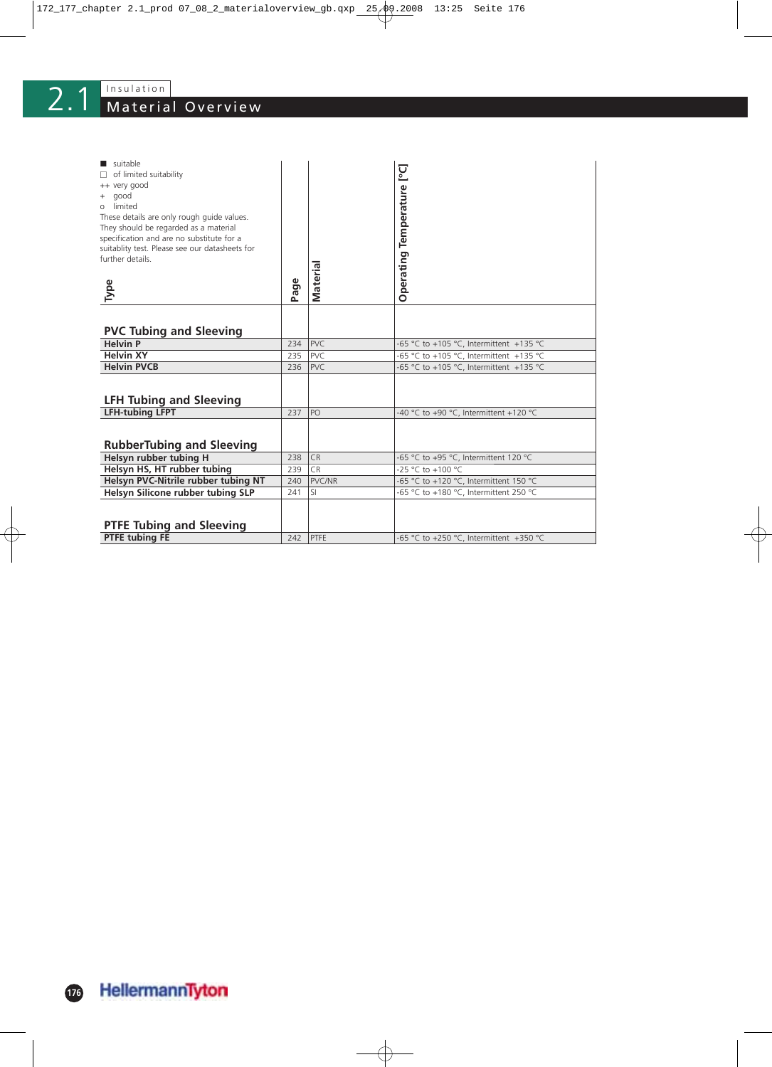# 2.1 Material Overview

| suitable<br>$\Box$ of limited suitability<br>++ very good<br>+ good<br>limited<br>$\Omega$<br>These details are only rough guide values.<br>They should be regarded as a material<br>specification and are no substitute for a<br>suitablity test. Please see our datasheets for<br>further details.<br>Type | Φ<br>Pag | <b>Materia</b> | Operating Temperature [°C]              |
|--------------------------------------------------------------------------------------------------------------------------------------------------------------------------------------------------------------------------------------------------------------------------------------------------------------|----------|----------------|-----------------------------------------|
|                                                                                                                                                                                                                                                                                                              |          |                |                                         |
| <b>PVC Tubing and Sleeving</b>                                                                                                                                                                                                                                                                               |          |                |                                         |
| <b>Helvin P</b>                                                                                                                                                                                                                                                                                              | 234      | PVC.           | -65 °C to +105 °C, Intermittent +135 °C |
| <b>Helvin XY</b>                                                                                                                                                                                                                                                                                             | 235      | PVC.           | -65 °C to +105 °C, Intermittent +135 °C |
| <b>Helvin PVCB</b>                                                                                                                                                                                                                                                                                           | 236      | <b>PVC</b>     | -65 °C to +105 °C, Intermittent +135 °C |
| <b>LFH Tubing and Sleeving</b>                                                                                                                                                                                                                                                                               |          |                |                                         |
| <b>LFH-tubing LFPT</b>                                                                                                                                                                                                                                                                                       | 237      | PO             | -40 °C to +90 °C, Intermittent +120 °C  |
| <b>RubberTubing and Sleeving</b>                                                                                                                                                                                                                                                                             |          |                |                                         |
| Helsyn rubber tubing H                                                                                                                                                                                                                                                                                       | 238      | <b>CR</b>      | -65 °C to +95 °C, Intermittent 120 °C   |
| Helsyn HS, HT rubber tubing                                                                                                                                                                                                                                                                                  | 239      | C <sub>R</sub> | $-25 °C$ to $+100 °C$                   |
| Helsyn PVC-Nitrile rubber tubing NT                                                                                                                                                                                                                                                                          | 240      | PVC/NR         | -65 °C to +120 °C, Intermittent 150 °C  |
| Helsyn Silicone rubber tubing SLP                                                                                                                                                                                                                                                                            | 241      | <b>SI</b>      | -65 °C to +180 °C, Intermittent 250 °C  |
|                                                                                                                                                                                                                                                                                                              |          |                |                                         |
|                                                                                                                                                                                                                                                                                                              |          |                |                                         |
| <b>PTFE Tubing and Sleeving</b>                                                                                                                                                                                                                                                                              |          |                |                                         |
| <b>PTFE tubing FE</b>                                                                                                                                                                                                                                                                                        | 242      | PTFE           | -65 °C to +250 °C, Intermittent +350 °C |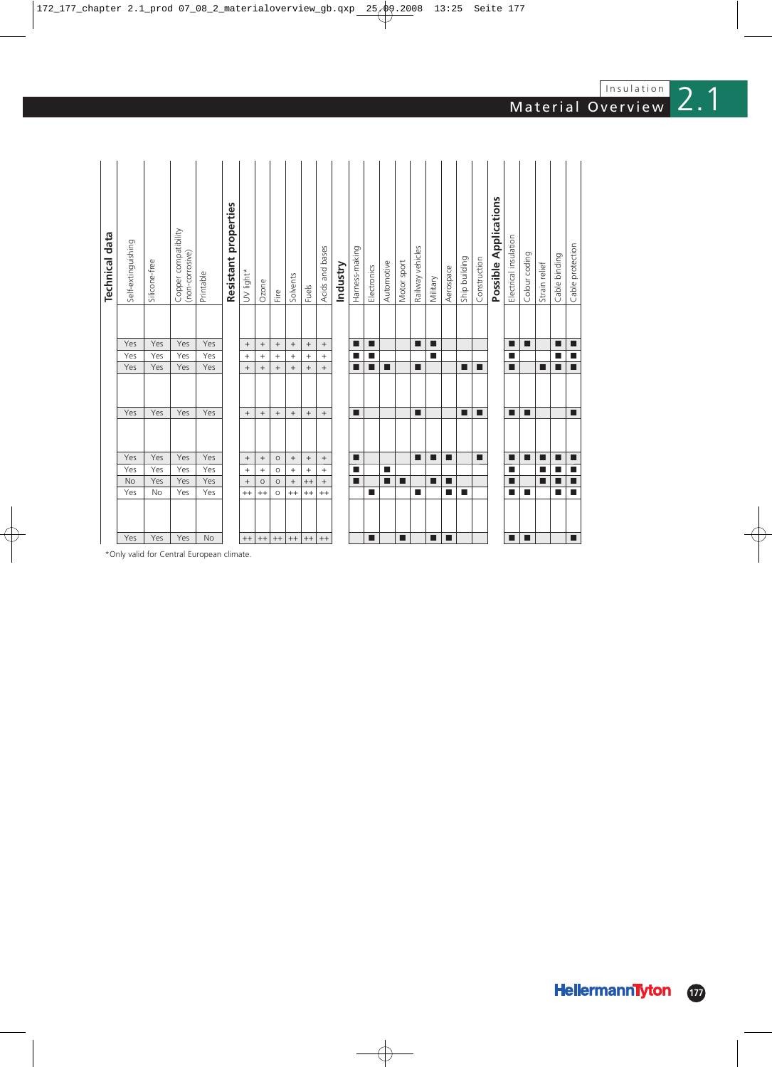|         |                |                 |                  |                  |                   |                   |                  |                  | <b>Technical data</b>                   |
|---------|----------------|-----------------|------------------|------------------|-------------------|-------------------|------------------|------------------|-----------------------------------------|
| Yes     | Yes            | No              | Yes              | Yes              | Yes               | Yes               | Yes              | Yes              | Self-extinguishing                      |
| Yes     | No             | Yes             | Yes              | Yes              | Yes               | Yes               | Yes              | Yes              | Silicone-free                           |
| Yes     | Yes            | Yes             | Yes              | Yes              | Yes               | Yes               | Yes              | Yes              | Copper compatibility<br>(non-corrosive) |
| No      | Yes            | Yes             | Yes              | Yes              | Yes               | Yes               | Yes              | Yes              | Printable                               |
|         |                |                 |                  |                  |                   |                   |                  |                  | Resistant properties                    |
| $++$    | $^{++}$        |                 | $\boldsymbol{+}$ | $\boldsymbol{+}$ | $\! +$            | $\! + \!\!\!\!$   | $\ddot{}$        | $\boldsymbol{+}$ | UV light*                               |
| $^{++}$ | $^{++}$        | $\circ$         | $^{+}$           | $^{\mathrm{+}}$  | $\! + \!\!\!\!$   | $^{+}$            | $^{+}$           | $^{\mathrm{+}}$  | Ozone                                   |
| $^{++}$ | $\circ$        | $\circ$         | $\circ$          | $\circ$          | $\qquad \qquad +$ | $\qquad \qquad +$ | $\ddot{}$        |                  | Fire                                    |
| $^{++}$ | $^{++}$        | $^{\mathrm{+}}$ | $^{+}$           | $^+$             | $\! + \!\!\!\!$   | $^{+}$            | $\! + \!\!\!\!$  | $^+$             | Solvents                                |
| $++$    | $^{++}$        | $^{++}$         | $^{+}$           | $^{\mathrm{+}}$  | $\! + \!\!\!\!$   | $\! + \!\!\!\!$   | $\! + \!\!\!\!$  | $^+$             | Fuels                                   |
| $^{++}$ | $^{++}$        | $^+$            | $\boldsymbol{+}$ | $^+$             | $^+$              | $^{+}$            | $\boldsymbol{+}$ | $^+$             | Acids and bases                         |
|         |                |                 |                  |                  |                   |                   |                  |                  | Industry                                |
|         |                | П               | П                | ■                | п                 |                   |                  | п                | Harness-making                          |
| П       | П              |                 |                  |                  |                   | ■                 | ■                | П                | Electronics                             |
|         |                | П               | п                |                  |                   | П                 |                  |                  | Automotive                              |
| п       |                | п               |                  |                  |                   |                   |                  |                  | Motor sport                             |
|         | ■              |                 |                  | П                | ■                 | П                 |                  | ■                | Railway vehicles                        |
| п       |                | г               |                  | п                |                   |                   |                  | п                | Military                                |
| П       | ■              | П               |                  | П                |                   |                   |                  |                  | Aerospace                               |
|         | П              |                 |                  |                  | П                 | ■                 |                  |                  | Ship building                           |
|         |                |                 |                  | п                | п                 | П                 |                  |                  | Construction                            |
|         |                |                 |                  |                  |                   |                   |                  |                  | Possible Applications                   |
| ■       | п              | П               | П                | ■                | ш                 | ■                 | ш                | п                | Electrical insulation                   |
| п       | П              |                 |                  | п                | П                 |                   |                  | П                | Colour coding                           |
|         |                | П               | П                | п                |                   | П                 |                  |                  | Strain relief                           |
|         | П              | п               | П                | п                |                   | П                 | ■                | п                | Cable binding                           |
| п       | $\blacksquare$ | $\blacksquare$  | $\blacksquare$   | п                | П                 | $\blacksquare$    | п                | п                | Cable protection                        |

Insulation

\*Only valid for Central European climate.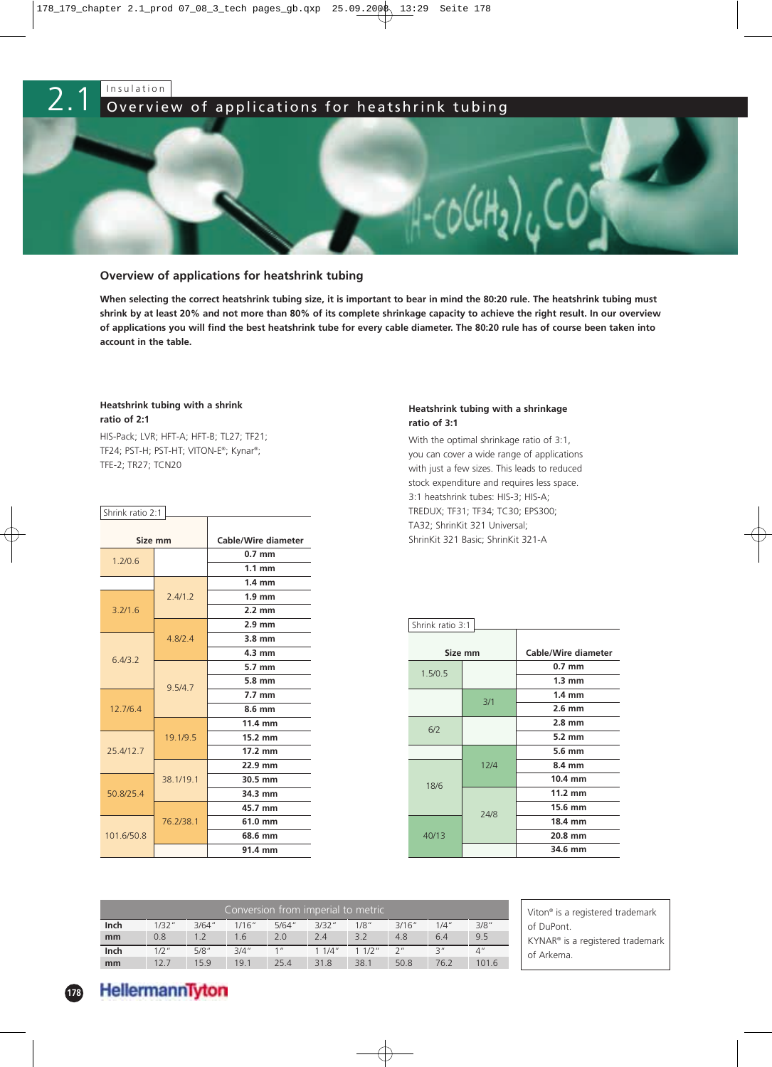

### **Overview of applications for heatshrink tubing**

**When selecting the correct heatshrink tubing size, it is important to bear in mind the 80:20 rule. The heatshrink tubing must shrink by at least 20% and not more than 80% of its complete shrinkage capacity to achieve the right result. In our overview of applications you will find the best heatshrink tube for every cable diameter. The 80:20 rule has of course been taken into account in the table.**

#### **Heatshrink tubing with a shrink ratio of 2:1**

HIS-Pack; LVR; HFT-A; HFT-B; TL27; TF21; TF24; PST-H; PST-HT; VITON-E®; Kynar®; TFE-2; TR27; TCN20

| Shrink ratio 2:1 |             |                            |
|------------------|-------------|----------------------------|
|                  | Size mm     | <b>Cable/Wire diameter</b> |
| 1.2/0.6          |             | $0.7$ mm                   |
|                  |             | $1.1 \text{ mm}$           |
|                  |             | $1.4 \text{ mm}$           |
|                  | 2.4/1.2     | $1.9$ mm                   |
| 3.2/1.6          |             | $2.2 \text{ mm}$           |
|                  |             | $2.9$ mm                   |
|                  | 4.8/2.4     | $3.8 \text{ mm}$           |
| 6.4/3.2          |             | $4.3 \text{ mm}$           |
|                  |             | $5.7 \text{ mm}$           |
|                  | 9.5/4.7     | 5.8 mm                     |
|                  |             | $7.7 \text{ mm}$           |
| 12.7/6.4         |             | 8.6 mm                     |
|                  |             | 11.4 mm                    |
|                  | 19.1/9.5    | 15.2 mm                    |
| 25.4/12.7        |             | $17.2 \text{ mm}$          |
|                  |             | 22.9 mm                    |
|                  | 38, 1/19, 1 | 30.5 mm                    |
| 50.8/25.4        |             | 34.3 mm                    |
|                  |             | 45.7 mm                    |
|                  | 76.2/38.1   | 61.0 mm                    |
| 101.6/50.8       |             | 68.6 mm                    |
|                  |             | 91.4 mm                    |

## **Heatshrink tubing with a shrinkage ratio of 3:1**

With the optimal shrinkage ratio of 3:1, you can cover a wide range of applications with just a few sizes. This leads to reduced stock expenditure and requires less space. 3:1 heatshrink tubes: HIS-3; HIS-A; TREDUX; TF31; TF34; TC30; EPS300; TA32; ShrinKit 321 Universal; ShrinKit 321 Basic; ShrinKit 321-A

| Shrink ratio 3:1 |         |                     |
|------------------|---------|---------------------|
|                  | Size mm | Cable/Wire diameter |
| 1.5/0.5          |         | $0.7 \text{ mm}$    |
|                  |         | $1.3 \text{ mm}$    |
|                  | 3/1     | $1.4 \text{ mm}$    |
|                  |         | $2.6 \text{ mm}$    |
|                  |         | $2.8 \text{ mm}$    |
| 6/2              |         | $5.2 \text{ mm}$    |
|                  |         | 5.6 mm              |
|                  | 12/4    | 8.4 mm              |
| 18/6             |         | 10.4 mm             |
|                  |         | $11.2 \text{ mm}$   |
|                  | 24/8    | 15.6 mm             |
|                  |         | 18.4 mm             |
| 40/13            |         | 20.8 mm             |
|                  |         | 34.6 mm             |

|      |         |        |        |        | Conversion from imperial to metric |       |        |       |            |
|------|---------|--------|--------|--------|------------------------------------|-------|--------|-------|------------|
| Inch | 1/32''  | 3/64'' | 1/16'' | 5/64'' | 3/32''                             | 1/8"  | 3/16'' | 1/4'' | 3/8"       |
| mm   | 0.8     | 1.2    | 1.6    | 2.0    | 2.4                                | 3.2   | 4.8    | 6.4   | 9.5        |
| Inch | $1/2$ " | 5/8''  | 3/4''  | 1''    | 11/4"                              | 11/2" | 7''    | 2''   | $\Delta$ " |
| mm   | 12.7    | 15.9   | 19.1   | 25.4   | 31.8                               | 38.1  | 50.8   | 76.2  | 101.6      |

Viton® is a registered trademark of DuPont. KYNAR® is a registered trademark of Arkema.

# HellermannTyton

**178**